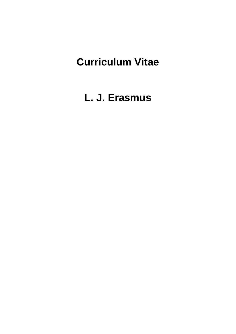# **Curriculum Vitae**

**L. J. Erasmus**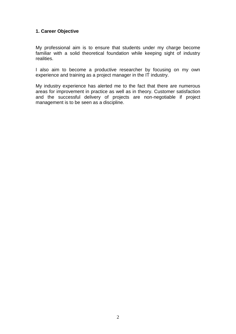#### **1. Career Objective**

My professional aim is to ensure that students under my charge become familiar with a solid theoretical foundation while keeping sight of industry realities.

I also aim to become a productive researcher by focusing on my own experience and training as a project manager in the IT industry.

My industry experience has alerted me to the fact that there are numerous areas for improvement in practice as well as in theory. Customer satisfaction and the successful delivery of projects are non-negotiable if project management is to be seen as a discipline.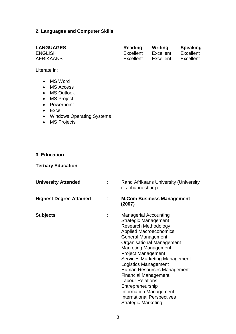#### **2. Languages and Computer Skills**

Literate in:

- MS Word
- MS Access
- MS Outlook
- MS Project
- Powerpoint
- Excell
- Windows Operating Systems
- MS Projects

#### **3. Education**

#### **Tertiary Education**

| <b>University Attended</b>     | Rand Afrikaans University (University<br>of Johannesburg)                                                                                                                                                                                                                                                                                                                                                                                                                                                                                       |
|--------------------------------|-------------------------------------------------------------------------------------------------------------------------------------------------------------------------------------------------------------------------------------------------------------------------------------------------------------------------------------------------------------------------------------------------------------------------------------------------------------------------------------------------------------------------------------------------|
| <b>Highest Degree Attained</b> | <b>M.Com Business Management</b><br>(2007)                                                                                                                                                                                                                                                                                                                                                                                                                                                                                                      |
| <b>Subjects</b>                | <b>Managerial Accounting</b><br><b>Strategic Management</b><br><b>Research Methodology</b><br><b>Applied Macroeconomics</b><br><b>General Management</b><br><b>Organisational Management</b><br><b>Marketing Management</b><br><b>Project Management</b><br><b>Services Marketing Management</b><br><b>Logistics Management</b><br>Human Resources Management<br><b>Financial Management</b><br><b>Labour Relations</b><br>Entrepreneurship<br><b>Information Management</b><br><b>International Perspectives</b><br><b>Strategic Marketing</b> |

| <b>LANGUAGES</b> | <b>Reading</b> | Writing   | <b>Speaking</b> |
|------------------|----------------|-----------|-----------------|
| <b>ENGLISH</b>   | Excellent      | Excellent | Excellent       |
| <b>AFRIKAANS</b> | Excellent      | Excellent | Excellent       |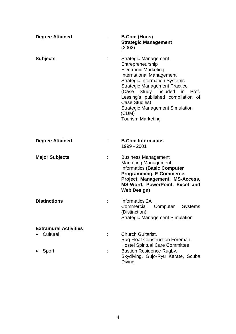| <b>Degree Attained</b>       | <b>B.Com (Hons)</b><br><b>Strategic Management</b><br>(2002)                                                                                                                                                                                                                                                                                                             |
|------------------------------|--------------------------------------------------------------------------------------------------------------------------------------------------------------------------------------------------------------------------------------------------------------------------------------------------------------------------------------------------------------------------|
| <b>Subjects</b>              | <b>Strategic Management</b><br>Entrepreneurship<br><b>Electronic Marketing</b><br><b>International Management</b><br><b>Strategic Information Systems</b><br><b>Strategic Management Practice</b><br>(Case Study included in Prof.<br>Lessing's published compilation of<br>Case Studies)<br><b>Strategic Management Simulation</b><br>(CUM)<br><b>Tourism Marketing</b> |
| <b>Degree Attained</b>       | <b>B.Com Informatics</b><br>1999 - 2001                                                                                                                                                                                                                                                                                                                                  |
| <b>Major Subjects</b>        | <b>Business Management</b><br><b>Marketing Management</b><br><b>Informatics (Basic Computer</b><br>Programming, E-Commerce,<br>Project Management, MS-Access,<br>MS-Word, PowerPoint, Excel and<br><b>Web Design)</b>                                                                                                                                                    |
| <b>Distinctions</b>          | Informatics 2A<br>Computer<br><b>Systems</b><br>Commercial<br>(Distinction)<br><b>Strategic Management Simulation</b>                                                                                                                                                                                                                                                    |
| <b>Extramural Activities</b> |                                                                                                                                                                                                                                                                                                                                                                          |
| Cultural                     | Church Guitarist,<br>Rag Float Construction Foreman,<br><b>Hostel Spiritual Care Committee</b>                                                                                                                                                                                                                                                                           |
| Sport                        | <b>Bastion Residence Rugby,</b><br>Skydiving, Gujo-Ryu Karate, Scuba<br>Diving                                                                                                                                                                                                                                                                                           |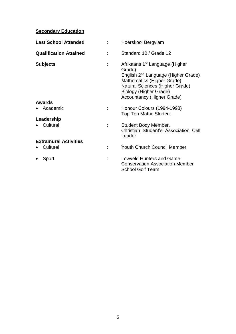## **Secondary Education**

| <b>Last School Attended</b>   | Hoërskool Bergvlam                                                                                                                                                                                                                      |
|-------------------------------|-----------------------------------------------------------------------------------------------------------------------------------------------------------------------------------------------------------------------------------------|
| <b>Qualification Attained</b> | Standard 10 / Grade 12                                                                                                                                                                                                                  |
| <b>Subjects</b>               | Afrikaans 1 <sup>st</sup> Language (Higher<br>Grade)<br>English 2 <sup>nd</sup> Language (Higher Grade)<br>Mathematics (Higher Grade)<br>Natural Sciences (Higher Grade)<br>Biology (Higher Grade)<br><b>Accountancy (Higher Grade)</b> |
| Awards                        |                                                                                                                                                                                                                                         |
| Academic                      | Honour Colours (1994-1998)<br><b>Top Ten Matric Student</b>                                                                                                                                                                             |
| Leadership                    |                                                                                                                                                                                                                                         |
| Cultural                      | Student Body Member,<br>Christian Student's Association Cell<br>Leader                                                                                                                                                                  |
| <b>Extramural Activities</b>  |                                                                                                                                                                                                                                         |
| Cultural                      | <b>Youth Church Council Member</b>                                                                                                                                                                                                      |
| Sport                         | <b>Lowveld Hunters and Game</b><br><b>Conservation Association Member</b><br><b>School Golf Team</b>                                                                                                                                    |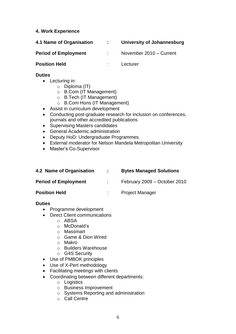#### **4. Work Experience**

| 4.1 Name of Organisation    | University of Johannesburg |
|-----------------------------|----------------------------|
| <b>Period of Employment</b> | November 2010 - Current    |

### **Position Held :** Lecturer

#### **Duties**

- Lecturing in:
	- o Diploma (IT)
	- o B.Com (IT Management)
	- o B.Tech (IT Management)
	- o B.Com Hons (IT Management)
- Assist in curriculum development
- Conducting post-graduate research for inclusion on conferences, journals and other accredited publications
- Supervising Masters candidates
- General Academic administration
- Deputy HoD: Undergraduate Programmes
- External moderator for Nelson Mandela Metropolitan University
- Master's Co-Supervisor

| 4.2 Name of Organisation    | <b>Bytes Managed Solutions</b> |
|-----------------------------|--------------------------------|
| <b>Period of Employment</b> | February 2009 - October 2010   |
| <b>Position Held</b>        | <b>Project Manager</b>         |

#### **Duties**

- Programme development
- Direct Client communications
	- o ABSA
	- o McDonald's
	- o Massmart
	- o Game & Dion Wired
	- o Makro
	- o Builders Warehouse
	- o G4S Security
- Use of PMBOK principles
- Use of X-Pert methodology
- Facilitating meetings with clients
- Coordinating between different departments:
	- o Logistics
	- o Business Improvement
	- o Systems Reporting and administration
	- $\circ$  Call Centre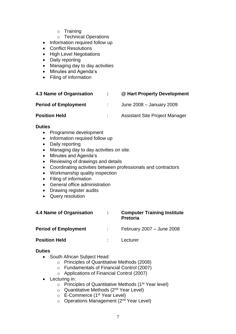- o Training
- o Technical Operations
- Information required follow up
- Conflict Resolutions
- High Level Negotiations
- Daily reporting
- Managing day to day activities
- Minutes and Agenda's
- Filing of information

| 4.3 Name of Organisation    | $\mathbb{Z}^{\mathbb{Z}}$ | @ Hart Property Development           |
|-----------------------------|---------------------------|---------------------------------------|
| <b>Period of Employment</b> |                           | June 2008 - January 2009              |
| <b>Position Held</b>        |                           | <b>Assistant Site Project Manager</b> |

#### **Duties**

- Programme development
- Information required follow up
- Daily reporting
- Managing day to day activities on site.
- Minutes and Agenda's
- Reviewing of drawings and details
- Coordinating activities between professionals and contractors
- Workmanship quality inspection
- Filing of information
- General office administration
- Drawing register audits
- Query resolution

| 4.4 Name of Organisation    | t. | <b>Computer Training Institute</b><br><b>Pretoria</b> |
|-----------------------------|----|-------------------------------------------------------|
| <b>Period of Employment</b> | ÷. | February 2007 - June 2008                             |
| <b>Position Held</b>        |    | Lecturer                                              |

#### **Duties**

- South African Subject Head:
	- o Principles of Quantitative Methods (2008)
	- o Fundamentals of Financial Control (2007)
	- o Applications of Financial Control (2007)
- Lecturing in:
	- $\circ$  Principles of Quantitative Methods (1<sup>st</sup> Year level)
	- $\circ$  Quantitative Methods (2<sup>nd</sup> Year Level)
	- o E-Commerce (1st Year Level)
	- $\circ$  Operations Management (2<sup>nd</sup> Year Level)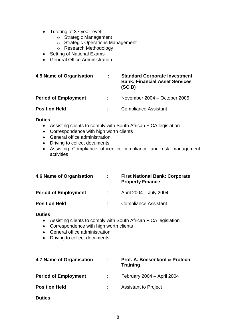- Tutoring at  $3<sup>rd</sup>$  year level:
	- o Strategic Management
	- o Strategic Operations Management
	- o Research Methodology
- Setting of National Exams
- General Office Administration

| 4.5 Name of Organisation    | ÷ | <b>Standard Corporate Investment</b><br><b>Bank: Financial Asset Services</b><br>(SCIB) |
|-----------------------------|---|-----------------------------------------------------------------------------------------|
| <b>Period of Employment</b> |   | November 2004 – October 2005                                                            |
| <b>Position Held</b>        |   | <b>Compliance Assistant</b>                                                             |

#### **Duties**

- Assisting clients to comply with South African FICA legislation
- Correspondence with high worth clients
- General office administration
- Driving to collect documents
- Assisting Compliance officer in compliance and risk management activities

| 4.6 Name of Organisation    | <b>First National Bank: Corporate</b><br><b>Property Finance</b> |
|-----------------------------|------------------------------------------------------------------|
| <b>Period of Employment</b> | April 2004 - July 2004                                           |
| <b>Position Held</b>        | <b>Compliance Assistant</b>                                      |

#### **Duties**

- Assisting clients to comply with South African FICA legislation
- Correspondence with high worth clients
- General office administration
- Driving to collect documents

| 4.7 Name of Organisation    | Prof. A. Boesenkool & Protech<br><b>Training</b> |
|-----------------------------|--------------------------------------------------|
| <b>Period of Employment</b> | February 2004 - April 2004                       |
| <b>Position Held</b>        | <b>Assistant to Project</b>                      |
| <b>Duties</b>               |                                                  |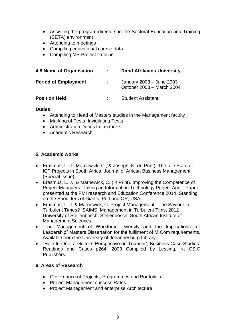- Assisting the program directors in the Sectoral Education and Training (SETA) environment
- Attending to meetings
- Compiling educational course data
- Compiling MS-Project timeline

| 4.8 Name of Organisation    | <b>Rand Afrikaans University</b>                      |
|-----------------------------|-------------------------------------------------------|
| <b>Period of Employment</b> | January 2003 - June 2003<br>October 2003 - March 2004 |
| <b>Position Held</b>        | <b>Student Assistant</b>                              |

#### **Duties**

- Attending to Head of Masters studies in the Management faculty
- Marking of Tests, Invigilating Tests
- Administration Duties to Lecturers
- Academic Research

#### **5. Academic works**

- Erasmus, L. J., Marnewick, C., & Joseph, N. (In Print). The Idle State of ICT Projects in South Africa. Journal of African Business Management (Special Issue).
- Erasmus, L. J., & Marnewick, C. (In Print). Improving the Competence of Project Managers: Taking an Information Technology Project Audit. Paper presented at the PMI research and Education Conference 2014: Standing on the Shoulders of Giants, Portland OR, USA.
- Erasmus, L. J. & Marnewick, C. Project Management The Saviour in Turbulent Times? SAIMS: Management in Turbulent Tims, 2012 University of Stellenbosch. Stellenbosch: South African Institute of Management Sciences.
- "The Management of Workforce Diversity and the Implications for Leadership" Masters Dissertation for the fulfilment of M.Com requirements. Available from the University of Johannesburg Library.
- "Hole-In-One: a Golfer's Perspective on Tourism", Business Case Studies: Readings and Cases p264; 2003 Compiled by Lessing, N; CSIC Publishers.

#### **6. Areas of Research**

- Governance of Projects, Programmes and Portfolio's
- Project Management success Rates
- Project Management and enterprise Architecture